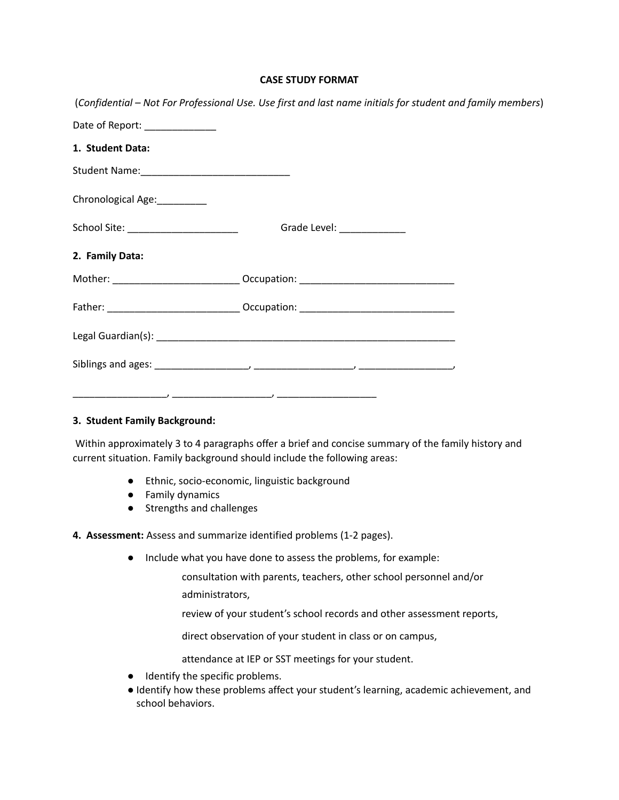#### **CASE STUDY FORMAT**

|                                      | (Confidential – Not For Professional Use. Use first and last name initials for student and family members) |  |
|--------------------------------------|------------------------------------------------------------------------------------------------------------|--|
| Date of Report: ______________       |                                                                                                            |  |
| 1. Student Data:                     |                                                                                                            |  |
|                                      |                                                                                                            |  |
| Chronological Age:<br><u> </u>       |                                                                                                            |  |
| School Site: _______________________ | Grade Level: ______________                                                                                |  |
| 2. Family Data:                      |                                                                                                            |  |
|                                      | Mother: _______________________________ Occupation: ____________________________                           |  |
|                                      | Father: ________________________________Occupation: ____________________________                           |  |
|                                      |                                                                                                            |  |
|                                      |                                                                                                            |  |
|                                      |                                                                                                            |  |

#### **3. Student Family Background:**

Within approximately 3 to 4 paragraphs offer a brief and concise summary of the family history and current situation. Family background should include the following areas:

- Ethnic, socio-economic, linguistic background
- Family dynamics
- Strengths and challenges

## **4. Assessment:** Assess and summarize identified problems (1-2 pages).

● Include what you have done to assess the problems, for example:

consultation with parents, teachers, other school personnel and/or administrators,

review of your student's school records and other assessment reports,

direct observation of your student in class or on campus,

attendance at IEP or SST meetings for your student.

- Identify the specific problems.
- Identify how these problems affect your student's learning, academic achievement, and school behaviors.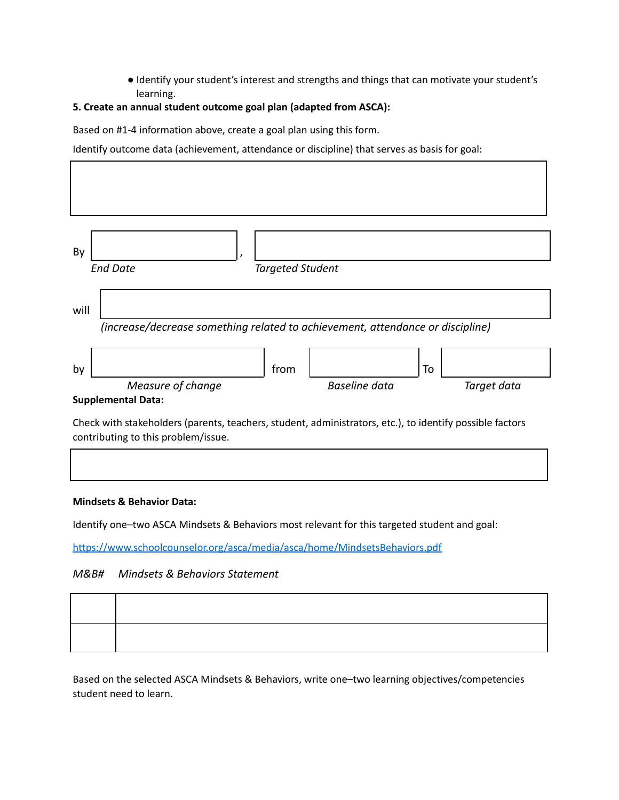● Identify your student's interest and strengths and things that can motivate your student's learning.

## **5. Create an annual student outcome goal plan (adapted from ASCA):**

Based on #1-4 information above, create a goal plan using this form.

Identify outcome data (achievement, attendance or discipline) that serves as basis for goal:

| By   | <b>End Date</b>                                                                                                                       |                         |                      |    |             |
|------|---------------------------------------------------------------------------------------------------------------------------------------|-------------------------|----------------------|----|-------------|
| will | (increase/decrease something related to achievement, attendance or discipline)                                                        | <b>Targeted Student</b> |                      |    |             |
| by   | Measure of change                                                                                                                     | from                    | <b>Baseline</b> data | To | Target data |
|      | <b>Supplemental Data:</b><br>Check with stakeholders (parents, teachers, student, administrators, etc.), to identify possible factors |                         |                      |    |             |

contributing to this problem/issue.

#### **Mindsets & Behavior Data:**

Identify one–two ASCA Mindsets & Behaviors most relevant for this targeted student and goal:

<https://www.schoolcounselor.org/asca/media/asca/home/MindsetsBehaviors.pdf>

## *M&B# Mindsets & Behaviors Statement*

Based on the selected ASCA Mindsets & Behaviors, write one–two learning objectives/competencies student need to learn.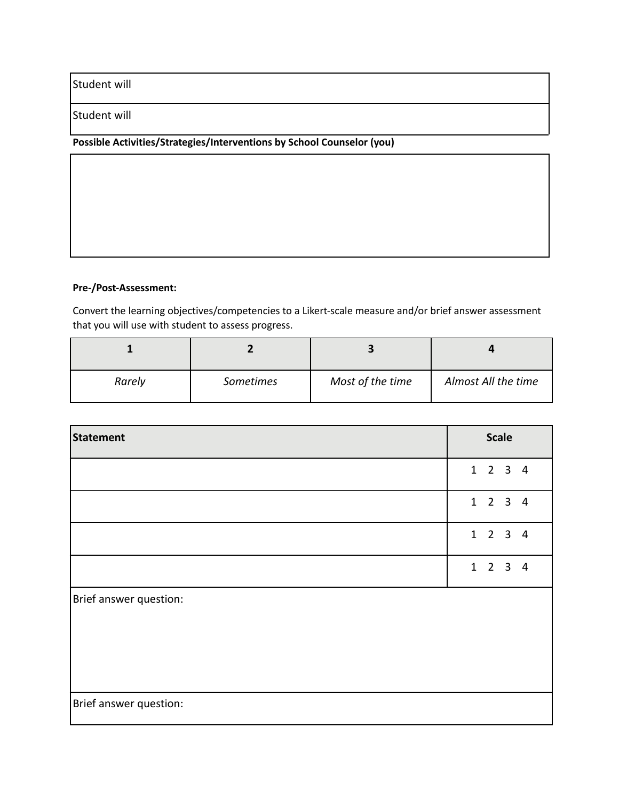# Student will

### Student will

# **Possible Activities/Strategies/Interventions by School Counselor (you)**

## **Pre-/Post-Assessment:**

Convert the learning objectives/competencies to a Likert-scale measure and/or brief answer assessment that you will use with student to assess progress.

| Rarely | <b>Sometimes</b> | Most of the time | Almost All the time |
|--------|------------------|------------------|---------------------|

| <b>Statement</b>       | <b>Scale</b>                |
|------------------------|-----------------------------|
|                        | $1 \quad 2 \quad 3 \quad 4$ |
|                        | $1 \quad 2 \quad 3 \quad 4$ |
|                        | $1 \quad 2 \quad 3 \quad 4$ |
|                        | $1 \quad 2 \quad 3 \quad 4$ |
| Brief answer question: |                             |
| Brief answer question: |                             |